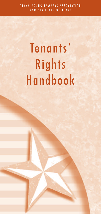# Tenants' Rights Handbook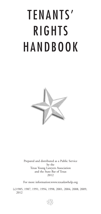# TENANTS' RIGHTS HANDBOOK



Prepared and distributed as a Public Service by the Texas Young Lawyers Association and the State Bar of Texas 2012

For more information:www.texaslawhelp.org

(c)1985, 1987, 1991, 1994, 1998, 2001, 2004, 2008, 2009, 2012

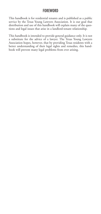# FOREWORD

This handbook is for residential tenants and is published as a public service by the Texas Young Lawyers Association. It is our goal that distribution and use of this handbook will explain many of the questions and legal issues that arise in a landlord-tenant relationship.

This handbook is intended to provide general guidance only. It is not a substitute for the advice of a lawyer. The Texas Young Lawyers Association hopes, however, that by providing Texas residents with a better understanding of their legal rights and remedies, this handbook will prevent many legal problems from ever arising.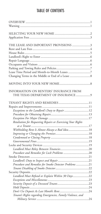# TABLE OF CONTENTS

| THE LEASE AND IMPORTANT PROVISIONS 3                                          |  |
|-------------------------------------------------------------------------------|--|
|                                                                               |  |
|                                                                               |  |
| INFORMATION ON RENTERS' INSURANCE FROM<br>THE TEXAS DEPARTMENT OF INSURANCE 9 |  |
| Exceptions to the Landlord's Duty to Repair 12                                |  |
| Retaliation for Requesting Repairs or Exercising Your Rights                  |  |
| Withholding Rent Is Almost Always a Bad Idea18                                |  |
|                                                                               |  |
| Procedure and Remedies for Smoke Detector Problems 21                         |  |
| Landlord Must Refund or Explain Within 30 Days22                              |  |
|                                                                               |  |
| Tenant's Rights regarding Emergencies, Family Violence, and                   |  |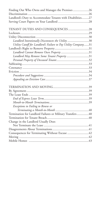| Finding Out Who Owns and Manages the Premises26                |
|----------------------------------------------------------------|
|                                                                |
| Landlord's Duty to Accommodate Tenants with Disabilities27     |
|                                                                |
|                                                                |
| TENANT DUTIES AND CONSEQUENCES28                               |
|                                                                |
|                                                                |
| Landlord Intentionally Disconnects the Utility 30              |
| Utility Cutoff for Landlord's Failure to Pay Utility Company31 |
|                                                                |
|                                                                |
| Landlord May Remove Some Tenant Property 31                    |
|                                                                |
|                                                                |
|                                                                |
|                                                                |
|                                                                |
|                                                                |
|                                                                |
|                                                                |
|                                                                |
|                                                                |
|                                                                |
| Exceptions to Failing to Renew or                              |
|                                                                |
| Termination for Landlord Failures or Military Transfers40      |
|                                                                |
| Change in the Landlord Usually Does                            |
|                                                                |
|                                                                |
| Consequences for Terminating Without Excuse 42                 |
|                                                                |
|                                                                |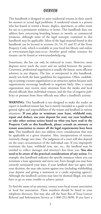# OVERVIEW

This handbook is designed to assist residential tenants in their search for answers to actual legal problems. A residential tenant is a person who has leased or rented a house, duplex, apartment, or other room for use as a permanent residence or home. This handbook does not address laws concerning boarding houses or motels, or commercial tenancies, although some of the legal concepts contained in this handbook may be applicable. Most of the legal material found in this handbook can be located in sections 24, 54, 91 and 92 of the Texas Property Code, which is available in your local law library and online at www.statutes.legis.state.tx.us. Another good online resource for tenants can be found at www.texaslawhelp.org.

Sometimes, the law can only be enforced in court. However, most disputes never reach the court and are settled between the parties. Courteous, professional negotiation is usually the fastest, most efficient solution in any dispute. The law, as interpreted in this handbook, merely sets forth the basic guidelines for negotiation. Often, establishing or joining a tenant organization is an attractive option because such organizations encourage landlords to negotiate fairly. Also, a tenant organization may receive more attention from the media and local elected officials than individual tenants, and the fear of negative publicity or pressure from these officials may affect a landlord's actions.

**WARNING:** This handbook is not designed to make the reader an expert in landlord-tenant law, but is merely intended as a guide to the general rights and responsibilities of the tenant and landlord in various situations. **If you plan to terminate your lease, withhold rent, repair and deduct, use your deposit for rent, sue your landlord, or take other serious action based on what you have read in the Property Code or this handbook, please consult an attorney or tenant association to ensure all the legal requirements have been met.** This handbook does not address every consideration that may be applicable in a given situation. Also, interpretations of statutes routinely change over time. The judgment of a court will also depend on the exact circumstances of the individual case. If you improperly terminate the lease, withhold rent, sue, etc., the landlord may be entitled to collect damages and attorney's fees from you. **You also need to be aware of the practical considerations of any action.** For example, this handbook indicates the specific instances where you can terminate a lease agreement and move out. Even though you may have correctly terminated your lease, if your landlord does not agree with your decision, she may take action against you (including withholding your deposit and giving a statement to a credit reporting agency). Although the landlord's actions may later be deemed illegal, you may have to go to some trouble to achieve justice.

To find the name of an attorney, contact your local tenant association or local bar association. These numbers should be listed in your telephone directory. You may also call the State Bar of Texas Lawyer Referral and Information Service at 1-800-252-9690. If you have a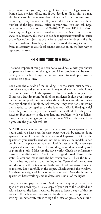very low income, you may be eligible to receive free legal assistance from a legal services office, and if you decide to file a suit, you may also be able to file a statement describing your financial status instead of having to pay court costs. If you need the name and telephone number of the legal services office in your area, you can call Legal Services Support Division at 1-800-204-2222, ext. 1855. A Referral Directory of legal service providers is on the State Bar website, www.texasbar.com. You may also decide to represent yourself in Justice of the Peace Court. Justices of the Peace routinely decide suits filed by parties who do not have lawyers. It is still a good idea to get some tips from an attorney or your local tenant association on the best way to represent yourself.

# SELECTING YOUR NEW HOME

The most important thing you can do to avoid hassles with your house or apartment is to start on the right foot. Many problems can be avoided if you do a few things before you agree to rent, put down a deposit, or sign a lease.

Look over the outside of the building. Are the stairs, outside walls, roof, sidewalks, and grounds around it in good shape? Do the buildings need to be painted? Do the apartments have enough parking spaces? If there is a laundry room for all of the residents, look it over. Inspect the swimming pool. Find out what the neighbors are like and what they say about the landlord. Ask whether they ever had something that needed to be repaired by the landlord. Was it fixed quickly? Have they ever had any disputes with the landlord? Do they have roaches? Has anyone in the area had any problem with vandalism, burglaries, rapes, muggings, or other crimes? What is the area like at night? Are the grounds well lit?

NEVER sign a lease or even provide a deposit on an apartment or house until you have seen the exact place you will be renting. Some apartment complexes will show you a model apartment. Often, the apartment you actually rent will not be as nice as the model. When you inspect the place you may rent, look it over carefully. Make sure the place does not smell bad. This could signal mildew caused by roof or plumbing leaks. Make sure the stove works. Check the refrigerator. Turn on the dishwasher. Check the garbage disposal. Turn on the water faucets and make sure the hot water works. Flush the toilet. Test the heating and air conditioning units. Open all of the cabinets and drawers in the kitchen and bathroom. Look for signs of insects or rodents. Look carefully at the carpet. Check around the windows. Are there any signs of leaks or water damage? Does the house or apartment have working smoke detectors? Test all of the lights.

Carry a pen and paper with you. Make a list of anything that is damaged or that needs repair. Take a copy of your list to the landlord and ask to have all the items repaired. Be sure to keep a copy of this list yourself. If the landlord promises to fix the items, get the promise in writing (or, better yet, refuse to sign the lease or give a deposit until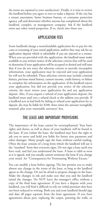the items are repaired to your satisfaction). Finally, it is wise to review the landlord before you agree to rent or make a deposit. If the city has a tenant association, better business bureau, or consumer protection agency, call and determine whether anyone has complained about the landlord, complex, or management company. Ask if the landlord owns any other rental properties. If so, check into those too.

# APPLICATION FEES

Some landlords charge a nonrefundable application fee to pay for the costs or screening of your rental application, and/or they may ask for an application deposit which is refundable if you are rejected as a tenant. When you are provided with the application, the landlord must make available to you written notice of the selection criteria that will be used to determine if your application will be accepted or denied and will state that if you do not meet the selection criteria or provide incomplete information, your application may be rejected and your application fee will not be refunded. These selection criteria may include criminal history, previous rental history, current income, credit history, or failure to complete the information on the application. If the landlord rejects your application, but did not provide you notice of the selection criteria, she must return your application fee and any application deposit. Also, if you request a refund of your application deposit, the landlord must mail you a refund check at the address you provide. If a landlord acts in bad faith by failing to refund your application fee or deposit, she may be liable for \$100, three times the amount wrongfully retained, plus your reasonable attorneys' fees.

# THE LEASE AND IMPORTANT PROVISIONS

The importance of the lease cannot be overemphasized. Your basic rights and duties, as well as those of your landlord, will be found in the lease. If you violate the lease, the landlord may have the right to ask you to move and hold you liable for future rent payments and other damages. Many people sign the lease without careful reading. Often the lease consists of a long form which the landlord will say is the "standard" form that everyone signs. Do not sign a lease until you have read, and feel you understand the lease. A lease is valid as soon as it is signed, and you usually cannot terminate the lease if you change your mind. *See* "Consequences for Terminating Without Excuse."

You can modify a lease before signing. The law permits you to make almost any change in the terms of the lease, as long as the landlord agrees to the change. Do not be afraid to propose changes in the lease. Make the changes in ink and make sure that you and the landlord initial the changes. Do NOT leave the manager's office without a copy of the final lease agreement. If you have a dispute with your landlord, you will find it difficult to rely on verbal promises that have not been reduced to writing. Both you and your landlord should sign and date all pages separate from the lease agreement. If you have agreements about pets, replacing the carpet, painting the walls, or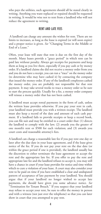who pays the utilities, such agreements should all be stated clearly in writing. Anything you want replaced or repaired should be requested in writing. It would be wise not to rent from a landlord who will not reduce the agreement to writing.

# RENT AND LATE FEES

A landlord can charge any amount she wishes for rent. There are no limits to increases, as long as the lease is expired (or will soon expire) and a proper notice is given. *See* "Changing Terms in the Middle or End of a Lease."

Often, your lease will state that rent is due on the first day of the month. Many leases provide a "grace period" in which rent can be paid late without penalty. Always get receipts for payments and keep them as long as you live there, especially if you pay cash or by money order. If a landlord claims she did not receive a money order from you and you do not have a receipt, you can run a "trace" on the money order (to determine who may have cashed it) by contacting the company that issued the money order. If any of the landlord's employees cashed the money order, you are probably not responsible for that rent payment. It may take several weeks to trace a money order so be sure to start the process quickly. Usually for a fee, a money order company will reissue a money order that has not been cashed.

A landlord must accept rental payments in the form of cash, unless the written lease provides otherwise. If you pay your rent in cash, your landlord must provide you with a written receipt. The landlord must also keep a record of the date and amount of each cash payment. If a landlord fails to provide receipts or keep a record book, you can file suit and may be entitled to a court order that: (1) directs the landlord to comply with the law; (2) awards you the greater of one month's rent or \$500 for each violation; and (3) awards you court costs and reasonable attorney's fees.

A landlord can charge a reasonable late fee if you pay rent one day or later after the due date in your lease agreement, and if the lease gives notice of the fee. If you do not pay your rent on the due date (or within the grace period if one is provided), the landlord usually has the discretion to either terminate the lease agreement or accept the rent and the appropriate late fee. If you offer to pay the rent and appropriate late fee and the landlord refuses to accept it, you may still have a chance in court if your lease provides for notice and time within which to cure a violation of your lease. A court may also consider your rent to be paid on time if you have established a clear and undisputed pattern of acceptance of late payment by your landlord. You should argue that if your landlord no longer wished to accept late payments, she should have given you some advance notice. *See* "Termination for Tenant Breach." If you suspect that your landlord may refuse to accept your rent, be sure to offer the money in person and with a witness (not just over the telephone) so that you can later show in court that you attempted to pay rent.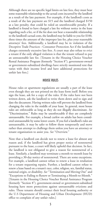Although there are no specific legal limits on late fees, they must bear some reasonable relationship to the actual costs incurred by the landlord as a result of the late payment. For example, if the landlord's costs as a result of the late payment are \$15 and the landlord charged \$150 as a late penalty, that could be ruled an unenforceable penalty. If a landlord is found to have charged a late fee without notice in the lease regarding such a fee, or if the fee does not bear a reasonable relationship to the landlord's actual costs, the landlord may be liable to you for \$100, three times the amount of the improper late fee, plus your reasonable attorneys' fees. Additionally, a landlord may be in violation of the Deceptive Trade Practices - Consumer Protection Act if the landlord charges extremely excessive late fees. A court may also refuse to evict a tenant if the only alleged violation is that the tenant refused to pay an unreasonable late fee. [Tenants in the Housing Choice Voucher Rental Assistance Program (formerly "Section 8"), government-owned or government-subsidized dwellings have strictly monitored rent that varies with their income level and have additional protections for unfair late fees.]

#### HOUSE RULES

House rules or apartment regulations are usually a part of the lease even though they are not printed on the lease form itself. Before you sign the lease, ask for a copy of the rules. If the rules have not been written down, ask the landlord to write them down and to sign and date the document. Having written rules will prevent the landlord from changing the rules in the middle of your lease. In general, most house rules are enforceable as long as they do not illegally discriminate. *See* "Discrimination." Rules may be unenforceable if they are completely unreasonable. For example, a broad curfew on adults has been considered unreasonable by some lower courts. If you feel a landlord's rules are unreasonable, it may be safer to follow them temporarily and move rather than attempt to challenge them unless you have an attorney or tenant organization to assist you. *See* "Overview."

Note that a landlord can decide not to renew a lease for almost any reason and, if the landlord has given proper notice of nonrenewal pursuant to the lease, a court will likely uphold that decision. In fact, the landlord is not obligated to give a reason for nonrenewal of a lease. Similarly, a landlord may terminate a month-to-month lease by providing a 30-day notice of nonrenewal. There are some exceptions. For example, a landlord cannot refuse to renew a lease in retaliation for a tenant requesting repairs. Further, a landlord cannot refuse to renew a lease based on a tenant's race, color, religion, sex, familial status, national origin, or disability. *See* "Termination and Moving Out" and "Exceptions to Failing to Renew or Terminating a Month-to-Month." [Tenants in the Housing Choice Voucher Rental Assistance Program (formerly "Section 8"), government-owned or government-subsidized housing have more protections against unreasonable evictions and rules. These tenants should contact their local housing authority or the U.S Department of Housing and Urban Development (HUD) office to complain of any unfair rules.]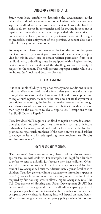#### LANDLORD'S RIGHT TO ENTER

Study your lease carefully to determine the circumstances under which the landlord may enter your home. Unless the lease agreement says the landlord can enter your apartment or house, she has NO right to do so, except in emergencies and for routine inspections or repairs and, preferably, when you are provided advance notice. In every residential lease (oral or written), a tenant has an implied right to peaceable, quiet enjoyment of the premises. A tenant also has a right of privacy in her own home.

You may want to have your own keyed lock on the door of the apartment or house. If you want your own keyed lock, be sure you provide for this in your lease or obtain written permission from your landlord. Also, a dwelling must be equipped with a keyless bolting device on each exterior door of the dwelling without necessity of request by the tenant. This will prevent improper entries while you are home. *See* "Locks and Security Devices."

# REPAIR LANGUAGE

It is your landlord's duty to repair or remedy most conditions in your unit that affect your health and safety unless you cause the damage through abnormal use, and so long as you follow the proper procedure to request such repairs. Make sure the lease does not say that you waive your rights by requiring the landlord to make these repairs. Although such clauses are often considered void, it is better to modify the lease than rely on the courts to resolve a dispute. *See* "Exceptions to the Landlord's Duty to Repair."

Texas law does NOT require a landlord to repair or remedy a condition that does not affect your health or safety, such as a defective dishwasher. Therefore, you should read the lease to see if the landlord promises to repair such problems. If she does not, you should ask her to change the lease to include repairing these problems. *See* "Repairs and Improvements."

## OCCUPANTS AND VISITORS

"Fair housing" (anti-discrimination) laws prohibit discrimination against families with children. For example, it is illegal for a landlord to refuse to rent to a family just because they have children. Often, such discrimination takes the form of occupancy policies. A landlord cannot have occupancy limits that discriminate against families with children. Texas law generally limits occupancy to three adults (persons over 18) for each bedroom of the dwelling, unless the landlord is required by fair housing laws to allow a higher occupancy rate. The U.S. Department of Housing and Urban Development (HUD) has determined that, as a general rule, a landlord's occupancy policy of two persons per bedroom is reasonable, but whether or not such an occupancy policy violates fair housing laws will depend on many factors. When determining whether an occupancy policy violates fair housing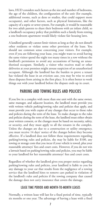laws, HUD considers such factors as the size and number of bedrooms, the age of the children, the configuration of the unit (for example, additional rooms, such as dens or studies, that could support more occupants), and other factors, such as physical limitations, like the capacity of a septic or sewer system. For example, it would be reasonable for two adult parents to share their bedroom with an infant child, so a landlord's occupancy policy that prohibits such a family from renting a one-bedroom apartment would likely violate fair housing laws.

A landlord generally cannot limit visitors as long as they do not disturb other residents or violate some other provision of the lease. You should use common sense concerning your visitors. For example, even if you are following your lease, you might want to avoid having the same visitor spend the night too many times in a row without the landlord's permission to avoid any accusations of having an unauthorized occupant. Similarly, a visitor who receives mail or other deliveries at your premises might arouse suspicion of an unauthorized occupant. Although the landlord has the burden to prove a tenant has violated the lease in an eviction case, you may be wise to avoid these disputes from arising in the first place. It is often better to work things out with your landlord before the dispute ends up in court.

# PARKING AND TOWING RULES AND POLICIES

If you live in a complex with more than one unit with the same owner, same manager, and adjacent location, the landlord must provide you with written vehicle parking/towing rules and policies that apply, and must provide you with copies of any changes that occur to those rules and policies during the term of the lease. To make changes to the rules and policies during the term of the lease, the landlord must either obtain your written consent, or the changes must be based on necessity, safety, or security, and they must apply to all the tenants in the complex. Unless the changes are due to a construction or utility emergency, you must receive 14 days' notice of the changes before they become effective. If a landlord does not follow these requirements regarding parking/towing rules and policies, she may be liable for \$100, any towing or storage costs that you incur if your vehicle is towed, plus your reasonable attorneys' fees and court costs. However, if you do not win a lawsuit based on parking/towing rules and policies, you may be liable to your landlord for her reasonable attorneys' fees and court costs.

Regardless of whether the landlord gives you proper notice regarding parking/towing rules and policies, your landlord is liable to you for any damage to your car that results from the negligence of a towing service that the landlord hires to remove cars parked in violation of the landlord's rules and policies if the towing company that caused the damage does not carry insurance that covers the damage.

# LEASE TIME PERIOD AND MONTH-TO-MONTH LEASES

Normally, a written lease will last for a fixed period of time, typically six months or one year. The advantage of having a lease with a fixed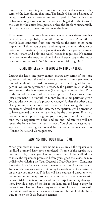term is that it protects you from rent increases and changes in the terms of the lease during that time. The landlord has the advantage of being assured they will receive rent for that period. One disadvantage of having a long-term lease is that you are obligated to the terms of the lease for the entire lease period, unless the landlord substantially violates the lease or agrees to terminate the lease.

If you never had a written lease agreement or your written lease has expired, you are probably a month-to-month tenant. A month-tomonth lease continues from one month to the next, as its name implies, until either you or your landlord gives a one-month advance notice of termination. (If you pay rent weekly, then you are a weekto-week tenant and only one week's notice is required.) No matter who terminates the lease, you should always keep a copy of the notice of termination as proof. *See* "Termination and Moving Out."

# CHANGING TERMS IN THE MIDDLE OR END OF A LEASE

During the lease, one party cannot change any terms of the lease agreement without the other party's consent. If an agreement is reached, it should be made in writing, dated, and signed by both parties. Unless an agreement is reached, the parties must abide by every term in the lease agreement (including any house rules). Prior to the end of the lease, either party can propose changes to a future lease agreement. (For month-to-month leases, either party can give a 30-day advance notice of a proposed change.) Unless the other party clearly terminates or does not renew the lease using the notice requirement described in the lease, then that party might be presumed to have accepted the new terms offered by the other party. If you do not want to accept a change in your lease, for example, increased rent, try to negotiate with the landlord and indicate you will not renew the lease unless the rent is lower. You should always obtain agreements in writing and signed by the owner or manager. *See* "Tenant Duties and Consequences."

# MOVING INTO YOUR NEW HOME

When you move into your new home make sure all the repairs your landlord promised have been completed. If some of the repairs have not been made, contact your landlord immediately. If the landlord fails to make the repairs she promised before you signed the lease, she may be liable for violating the Texas Deceptive Trade Practices – Consumer Protection Act. Contact a lawyer or tenant association for more details. You should also make a written list noting the condition of the apartment on the day you move in. This list will help you avoid disputes when you move out and may also be crucial in the return of your security deposit. Make a note of every spot on the carpet and every damaged item. Provide a copy of the list to the landlord and keep a copy for yourself. Your landlord has a duty to test all smoke detectors to verify they are in working order when you move in. The landlord also has a duty to rekey the locks between tenants.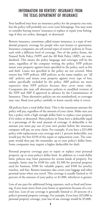# INFORMATION ON RENTERS' INSURANCE FROM THE TEXAS DEPARTMENT OF INSURANCE

Your landlord may have an insurance policy for the property you rent, but the policy will probably not cover your belongings. You may want to consider buying renters' insurance to replace or repair your belongings if they are stolen, damaged, or destroyed.

Renters insurance, sometimes called tenant insurance, is a type of residential property coverage for people who rent homes or apartments. Insurance companies can sell several types of renters' policies in Texas, each with a different level of coverage. Two of the policy forms, the Named Perils Policy (NPP) and the All Rish Policy (ARP), are standardized. This means the policy language and coverages will be the same, regardless of the company writing the policy. NPP policies insure your property against losses specified in the policy, such as fire and theft. Losses not specified in the policy are not covered. Most renters buy NPP policies. ARP policies, as the name implies, are "all risk" policies and insure your property against every type of loss, unless specifically excluded by the policy. ARP policies are more expensive than NPP policies because they cover more risks. Companies also may sell alternative policies or modified versions of the NPP and ARP if approved in advance by the Commissioner of Insurance. These alternative policies are not standardized, so coverages may vary. Read your policy carefully to know exactly what it covers.

All policies have a total dollar limit. This is the maximum amount the policy will pay, regardless of the amount of your claim. Make sure you buy a policy with a high enough dollar limit to replace your property if it's stolen or destroyed. Most policies in Texas have a deductible equal to a percentage of the total amount of coverage. A deductible is the amount you must pay out of your own pocket before the insurance company will pay on your claim. For example, if you have a \$25,000 policy with replacement cost coverage and a 1 percent deductible, you would pay the first \$250 of the repair or replacement costs. The company would then pay the remainder, up to your policy's dollar limit. Some companies may require a higher deductible for theft.

Personal property coverage pays to repair or replace your personal property, up to your policy's dollar limit. In addition to a total dollar limit, policies may limit payments for certain kinds of property. For example, limits may be \$100 for cash, \$2,500 for personal property used for business, \$500 for valuable papers, and \$500 for jewelry, watches, and furs. Renters insurance also covers your luggage and other personal items when you travel. This coverage is usually limited to 10 percent of the amount of your policy or \$1,000, whichever is greater.

Loss of use pays for additional living expenses, such as food and housing, if you must move from your home or apartment because of a covered loss. Loss of use coverage is generally limited to 20 percent of a policy's personal property coverage. For example, if you have \$25,000 in personal property coverage, your loss of use coverage would be \$5,000.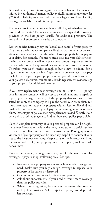Personal liability protects you against a claim or lawsuit if someone is injured in your home. A renters' policy typically automatically provides \$25,000 in liability coverage and pays your legal costs. Extra liability coverage is available for additional premium.

If a policy provides less coverage than you'd like, ask whether you can buy "endorsements." Endorsements increase or expand the coverage provided in the base policy, usually for additional premium. The availability of endorsements varies by company.

Renters policies normally pay the "actual cash value" of your property. This means the insurance company will subtract an amount for depreciation and wear and tear from the value of your property before paying your claim. For example, if someone steals your five-year-old television, the insurance company will only pay you an amount equivalent to the market value of a five-year-old television, minus your deductible. Therefore, you won't receive enough to buy a new television. For a higher premium, you can buy "replacement cost coverage" that pays the full cost of replacing your property, minus your deductible and up to your policy's dollar limit. You can usually add replacement cost coverage to your property for additional premium.

If you have replacement cost coverage and an NPP or ARP policy, your insurance company will pay up to a certain amount to repair or replace your damaged property. If the property damage exceeds that stated amount, the company will pay the actual cash value first. You must then repair or replace the property with an item of like kind and quality before the company will pay the remaining amount of your claim. Other types of policies may pay replacement cost differently. Read your policy or ask your agent to find out how your policy pays a claim.

Note: A complete inventory of your personal property can be helpful if you ever file a claim. Include the item, its value, and a serial number if there is one. Keep receipts for expensive items. Photographs or a videotape of your property can be especially helpful to document your loss to the insurance company. Keep a copy of the inventory and any photos or videos of your property in a secure place, such as a safe deposit box.

Rates can vary widely among companies, even for the same or similar coverage. It pays to shop. Following are a few tips:

- Inventory your property so you know how much coverage you need. Make sure you buy enough coverage to replace your property if it's stolen or destroyed.
- Obtain quotes from several different companies.
- Ask about endorsements if you need or want more coverage than the policy provides.
- When comparing prices, be sure you understand the coverage each policy provides. A less expensive policy could provide less coverage.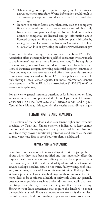- When asking for a price quote or applying for insurance, answer questions truthfully. Wrong information could result in an incorrect price quote or could lead to a denial or cancellation of coverage.
- Be sure to consider factors other than cost, such as a company's financial strength and its customer service record. Buy only from licensed companies and agents. You can find out whether agents or companies are licensed and get information about licensed companies' finances and their complaint histories by calling the Texas Department of Insurance Consumer Help Line (1.800.252.3439) or by visiting the website www.tdi.state.tx.gov.

If you have trouble finding renters' insurance, the Texas FAIR Plan Association offers a tenant policy for qualified consumers who are unable to obtain renters' insurance from a licensed company. To be eligible for this coverage, you must have been denied insurance by at least two licensed insurance companies writing residential property insurance in Texas and may not have received a valid offer of comparable insurance from a company licensed in Texas. FAIR Plan policies are available only through Texas-licensed agents. For more information, contact your agent or the Texas FAIR Plan Association (1.800.979.6440 or www.texasfairplan.org).

For answers to general insurance questions or for information on filing an insurance-related complaint, call the Texas Department of Insurance Consumer Help Line (1.800.252.3439) between 8 a.m. and 5 p.m., Central time, Monday–Friday, or visit the website www.tdi.state.tx.gov.

# TENANT RIGHTS AND REMEDIES

This section of the handbook discusses tenant rights and remedies provided by Texas law. Unless otherwise indicated, a lease cannot remove or diminish any right or remedy described below. However, your lease may provide additional protections and remedies. Be sure to read your lease first to see if your problem is addressed.

## REPAIRS AND IMPROVEMENTS

Texas law requires landlords to make a diligent effort to repair problems about which they have been notified and that materially affect the physical health or safety of an ordinary tenant. Examples of items that materially affect the health and safety of an ordinary tenant are sewage backups, roaches, rats, no hot water, faulty wiring, roof leaks, and, sometimes, a lack of heat or air conditioning. If the problem violates a provision of your city's building, health, or fire code, then it is more likely to be considered a health or safety risk. State law generally does not cover problems such as broken dishwashers, walls that need painting, unsatisfactory draperies, or grass that needs cutting. However, your lease agreement may require the landlord to repair these problems as well. If you are uncertain how to classify the problem, consult a lawyer, health or building inspector, or tenant association.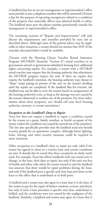A landlord that has an on-site management or superintendent's office must provide to you a telephone number that will be answered 24 hours a day for the purpose of reporting emergencies related to a condition of the property that materially affects your physical health or safety. The landlord must post the phone number prominently outside the management or superintendent's office.

The remaining sections of "Repairs and Improvements" will only discuss the requirements and remedies provided by state law as described above. Although some of the general advice may be applicable in other situations, a tenant should not assume that ANY of the remedies discussed below would be available.

[Tenants with the Housing Choice Voucher Rental Assistance Program (HCVRAP) (formerly "Section 8") rental vouchers or in government-owned or government-subsidized housing have additional rights concerning repairs. For example, a tenant with a HCVRAP rental voucher may request that the housing authority that administers the HCVRAP program inspect the unit. If there are repairs that require the landlord's attention, the housing authority may choose to "abate" (stop) paying its portion of the rent on the tenant's dwelling until the repairs are completed. If the landlord files for eviction, the landlord may not be able to evict the tenant based on nonpayment of the housing authority's rent, as long as the damage was not caused by the tenant's abnormal or reckless use of the premises. For more information about these programs, you should call your local housing authority, attorney, or tenant association.]

#### *Exceptions to the Landlord's Duty to Repair*

Texas law does not require a landlord to repair a condition caused by the tenant or a guest, family member, or lawful occupant of the tenant (unless the condition was caused by normal use of the premises). The law also specifically provides that the landlord need not furnish security guards for an apartment complex, although better lighting, locks, fencing, and other security measures could be required in some situations.

Other exceptions to a landlord's duty to repair are only valid if the tenant has agreed to them in a written lease and certain conditions are met. It should also be noted that these exceptions are fairly rarely used. For example, Texas law allows landlords with one rental unit to change, in the lease, their duty to repair, but only if the unit was free of health and safety risks when the tenant moved in and the landlord was unaware that there would be repair problems during the lease, and only if the landlord puts a specific and clear lease provision in the lease to this effect that is underlined or in bold print.

A landlord and a tenant may also agree in a lease that it is the duty of the tenant to pay for the repair of broken windows, screens, and doors, but only if such a lease provision is specific and clear, underlined or bolded, and the conditions were not caused by the negligence of the landlord. Similarly, a landlord and tenant may agree in a lease that it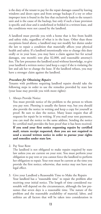is the duty of the tenant to pay for the repair damages caused by leaving windows and doors open and from sewage backups if a toy or other improper item is found in the line that exclusively leads to the tenant's unit and is the cause of the backup, but only if such a lease provision is specific and clear and is underlined or bolded in a written lease, and the conditions were not caused by the landlord.

A landlord must provide you with a home that is free from health and safety risks, regardless of what is in the lease. Other than those exceptions listed above, a landlord may not modify her duties under the law to repair a condition that materially affects your physical health and safety. If a landlord intentionally tries to change this duty orally or in your lease, you may have a claim against her for actual damages, one month's rent plus \$2,000, and reasonable attorney's fees. The law presumes the landlord acted without knowledge, so give your landlord a written notice (and keep a copy) if she is violating the law and ask her to change the lease. If the landlord refuses, you may have a stronger claim against the landlord.

## *Procedure for Obtaining Repairs*

Tenants with problems requiring landlord repairs should take the following steps in order to use the remedies provided by state law (your lease may provide you with more rights):

1. Always Provide Notice

 You must provide notice of the problem to the person to whom you pay rent. Phoning is usually the fastest way, but you should also provide the notice in writing and keep a copy for yourself as proof. Be sure to date the notice. Many leases require that all requests for repair be in writing. If you mail your rent payments, you can mail the notice to the same address. Sending the notice by certified mail provides the best proof that it has been received. **If you send your first notice requesting repairs by certified mail, return receipt requested, then you are not required to send a second written notice in order to pursue your rights and remedies under state law.**

2. Pay Your Rent

 The landlord is not obligated to make repairs required by state law unless you are current on your rent. You must perform your obligation to pay rent or you cannot force the landlord to perform her obligation to repair. Your rent must be current at the time you provide the first notice; otherwise, that notice may not have any legal effect.

3. Give your Landlord a Reasonable Time to Make the Repairs Your landlord has a "reasonable time" to repair the problem after receiving your initial notice. The length of time considered reasonable will depend on the circumstances, although the law presumes that seven days is a reasonable time. The nature of the problem and the reasonable availability of material, labor, and utilities are all factors that will be taken into consideration in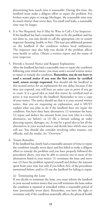determining how much time is reasonable. During this time, the landlord must make a diligent effort to repair the problem. For broken water pipes or sewage blockages, the reasonable time may be much shorter than seven days. For small roof leaks, a reasonable time may be longer.

- 4. It is Not Required, but It May be Wise to Call a City Inspector If the landlord has had a reasonable time to fix the problem and has not done so, you may decide to call the appropriate city or county inspector (housing, health, or fire). This may put additional pressure on the landlord if the condition violates local ordinances. The inspector may also help you decide if the problem affects your health or safety. Obtain a written report and the name of your inspector.
- 5. Provide a Second Notice and Request Explanation

 After the landlord has had a reasonable time to repair the condition following your initial notice, you must send a second written notice to repair or remedy the condition. **Remember, you do not have to send a second notice if you sent the first notice by certified mail, return receipt requested.** You should ask the landlord in this second notice for an explanation for any delay, because if she does not respond, you will have an easier case to prove if you go to court. It is a good idea to send this notice by certified mail to prove it was received by the landlord. Remember to save a copy of your notice. The notice should say that it is your second written notice, that you are requesting an explanation, and it MUST explain what you plan to do if the landlord does not repair the condition. You have three basic alternatives: (1) terminate the lease; (2) repair and deduct the amount from your rent (this is a tricky alternative, see below); or (3) file a lawsuit seeking an order directing repairs, damages, etc. It may be a good idea to list all the alternatives in your second notice and decide later which ones you will use. You should also consider involving other tenants, city officials, and the media. *See* "Overview."

6. Tenant Remedies

 If the landlord has clearly had a reasonable amount of time to repair the condition (usually seven days) and has failed to make a diligent effort to remedy the problem and you have properly followed the procedures above, you may be able to exercise one or more of the alternatives listed in your notice: (1) terminate the lease and move out; (2) have the problem repaired yourself and deduct the amount spent from your rent, but only if you follow ALL of the procedures mentioned below; and/or (3) sue the landlord for failing to repair.

#### (a) Terminating the Lease

If you decide to terminate the lease, you must inform the landlord in your second written notice that you will terminate the lease unless the condition is repaired or remedied within a reasonable period of time (presumably seven days). Remember, you have the right to terminate only if the condition materially affects the physical health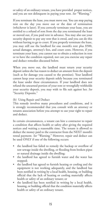or safety of an ordinary tenant, you have provided proper notices, and you are not delinquent in paying your rent. *See* "Warning."

If you terminate the lease, you must move out. You can stop paying rent on the day you move out or the date of termination (whichever is later). If you correctly terminate your lease, you are entitled to a refund of rent from the day you terminated the lease or moved out, if you paid rent in advance. You may also use your security deposit to pay any rent that is owed, and you can do this without having to go to court. If you properly terminate the lease, you may still sue the landlord for one month's rent plus \$500, actual damages, attorney's fees, and court costs. However, if you terminate your lease, you cannot sue to obtain a reduction in rent or to have the condition repaired, nor can you exercise any repair and deduct remedies discussed below.

When you move out, the landlord must return your security deposit unless she has reason to deduct an amount from the deposit (such as for damage you caused to the premises). Your landlord cannot keep your security deposit solely because you terminated the lease under these circumstances. If your landlord does not refund the unearned portion of your rent or wrongfully withholds your security deposit, you may wish to file suit against her. *See* "Security Deposits."

#### (b) Using Repair and Deduct

This remedy involves many procedures and conditions, and it is strongly recommended that you consult with an attorney or tenants association before you attempt to use your right to repair and deduct.

In certain circumstances, a tenant can hire a contractor to repair a condition that affects health or safety after giving the required notices and waiting a reasonable time. The tenant is allowed to deduct the money paid to the contractor from the NEXT month's rental payment. *See* "Warning." However, repair and deduct can be used ONLY if one of the following occurs:

- the landlord has failed to remedy the backup or overflow of raw sewage inside the dwelling, or flooding from broken pipes or natural drainage inside the dwelling;
- the landlord has agreed to furnish water and the water has stopped;
- the landlord has agreed to furnish heating or cooling and the equipment is not working adequately, and the landlord has been notified in writing by a local health, housing, or building official that the lack of heating or cooling materially affects health or safety of an ordinary tenant; or
- the landlord has been notified in writing by a local health, housing, or building official that the condition materially affects health or safety of an ordinary tenant.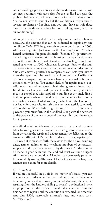After providing a proper notice and the conditions outlined above are met, you must wait seven days for the landlord to repair the problem before you can hire a contractor for repairs. (Exception: You do not have to wait at all if the condition involves serious sewage problems or flooding, and you only have to wait three days if the condition involves lack of drinking water, heat, or air conditioning.)

Although the repair and deduct remedy can be used as often as necessary, the amount that can be deducted to repair any one condition CANNOT be greater than one month's rent or \$500, whichever is greater. [A tenant on the Housing Choice Voucher Rental Assistance Program (formerly "Section 8"), governmentowned or government-subsidized housing may repair and deduct up to the monthly fair market rent of the dwelling from future rental payments, or \$500, whichever is greater.] Further, the total deductions in any one month cannot exceed one month's rent or \$500, whichever is greater. The company or contractor you hire to make the repairs must be listed in the phone book or classified ads of a local newspaper and must not have any personal or business connection with you. You cannot deduct for repairs made yourself, unless the landlord agrees (obtain the agreement in writing). In addition, all repairs made pursuant to this remedy must be made in compliance with applicable building codes, including a building permit when required. You cannot contract for labor or materials in excess of what you may deduct, and the landlord is not liable for those who furnish the labor or materials to remedy the condition. When deducting the cost of repairs from a rent payment, you must furnish the landlord, along with the payment of the balance of the rent, a copy of the repair bill and the receipt for its payment.

A landlord who is unable to obtain necessary parts or who cannot labor following a natural disaster has the right to delay a tenant from exercising the repair and deduct remedy by delivering to the tenant an Affidavit of Delay. This affidavit can delay repairs up to 30 days, but it must set forth the reasons for the delay, including dates, names, addresses, and telephone numbers of contractors, suppliers, and repairmen contacted by the owner. Affidavits must be made in good faith and the landlord must continue diligent efforts to repair the condition. A landlord can be severely penalized for wrongfully issuing Affidavits of Delay. Check with a lawyer or tenants association for more details.

#### (c) Filing Suit

If you are successful in a suit in the matter of repairs, you can obtain a court order requiring the landlord to repair the condition, and you can also recover your actual damages (direct costs resulting from the landlord failing to repair), a reduction in rent in proportion to the reduced rental value effective from the first notice to repair until the condition is remedied, one month's rent plus \$500, reasonable attorney's fees, and court costs. *See* "Warning."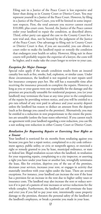Filing suit in a Justice of the Peace Court is less expensive and faster than doing so in County Court or District Court. You may represent yourself in a Justice of the Peace Court. However, by filing in a Justice of the Peace Court, you will be limited in some important respects. First, the total amount you recover cannot exceed \$10,000, plus court costs. Second, the Justice of the Peace cannot order your landlord to repair the condition, as described above. Third, either party can appeal the case to the County Court for a new trial and, thus, not be bound by the judgment of the Justice of the Peace Court. One advantage to filing suit in County Court or District Court is that, if you are successful, you can obtain a court order to make the landlord repair or remedy the condition that endangers your health or safety. However, filing suit in these courts will probably require the expertise of a lawyer, the costs will be higher, and it make take the court longer to review to your case.

## *Exception for Major Damage*

Special rules apply if the unsafe condition results from an insured casualty loss such as fire, smoke, hail, explosion, or similar cause. Under those circumstances, the landlord is not required to start repairs until her insurance company pays her. She still has a reasonable time after receiving the insurance proceeds to complete the repairs. However, as long as you or your guests were not responsible for the damage and the premises are practically unusable for residential purposes, you (or your landlord) may terminate the lease at any time prior to the completion of the repairs by providing written notice, and you will be entitled to a pro rata refund of any rent paid in advance and your security deposit unless the landlord has reason to deduct an amount from the deposit (such as for damage you caused to the premises). Alternatively, you may be entitled to a reduction in rent proportionate to the extent the premises are unusable (unless the lease states otherwise). If you cannot reach an agreement with your landlord regarding a rent reduction, you can file a suit seeking rent reduction in either County Court or District Court.

#### *Retaliation for Requesting Repairs or Exercising Your Rights as a Tenant*

Your landlord is restricted for six months from retaliating against you because you gave her a repair notice, complained to a city code enforcement agency, public utility, or civic or nonprofit agency, or exercised a right or remedy granted to you by lease, municipal ordinance, or state or federal law. Illegal retaliation occurs when the landlord, in retaliation for your requesting repairs, complaining to a city inspector, or asserting a right you have under your lease or another law, wrongfully terminates the lease, files for eviction, deprives you of the use of the premises, decreases your services, increases your rent, or engages in activity that materially interferes with your rights under the lease. There are several exceptions. For instance, your landlord can increase the rent if the lease has a provision for an increase in the rent due to higher utility taxes or insurance costs. The landlord may also increase the rent or reduce services if it is part of a pattern of rent increases or service reductions for the whole complex. Furthermore, the landlord can still terminate the lease and evict you if you fail to pay your rent, intentionally cause property damage to the premises, threaten the personal safety of the landlord or the landlord's employees, or break a promise you made in your lease.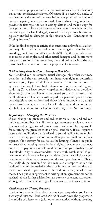There are other proper grounds for termination available to the landlord that are not considered retaliatory. Of course, if you received a notice of termination at the end of the lease before you provided the landlord notice to repair, you are not protected. This is why it is a good idea to provide the first repair notice in writing, date it, and make a copy for your protection. There may be another exception to obtaining retaliation damages if the landlord legally closes down the premises, but you are typically entitled to damages in this situation. *See* "Condemned or Closing Property."

If the landlord engages in activity that constitutes unlawful retaliation, you may file a lawsuit and seek a court order against your landlord awarding you: (1) one month's rent, plus \$500; (2) the reasonable costs to move to another place and other actual damages; and (3) attorney's fees and court costs. But remember, the landlord will win if she can prove that her actions were not for purposes of retaliation.

#### *Withholding Rent Is Almost Always a Bad Idea*

Your landlord can be awarded actual damages plus other statutory penalties (and she can probably terminate your right to possession and evict you) if you withhold any portion of your rent without an agreement, unless: (1) you first obtain a court order permitting you to do so; (2) you have properly repaired and deducted as described above; or (3) you have lawfully terminated your lease because of the landlord's unlawful behavior with regard to repairs and you are using your deposit as rent, as described above. If you improperly try to use your deposit as rent, you may be liable for three times the amount you withheld, in addition to the landlord's attorney's fees. *See* "Warning."

#### *Improving or Changing the Premises*

If you change the premises and reduce its value, the landlord can hold you responsible. Even if the change increases the value, a tenant has no absolute right to make an alteration and could be responsible for returning the premises to its original condition. If you require a reasonable modification that is related to your disability, for example a wheelchair ramp, your landlord must allow you to install one, at your expense, if it necessary for you to use the housing. (Tenants in public and subsidized housing have additional rights; for example, you may not need to pay for reasonable modifications for your disability.) *See* "Landlord's Duty to Accommodate Tenants with Disabilities." If you want to install a bookcase, hang a chandelier, paint the walls, lay carpet, or make other alterations, discuss your idea with your landlord. Obtain the landlord's permission first. You may also attempt to obtain the landlord 's permission to deduct the costs from your next month's rent. Determine whether you can take the addition with you when you move. Then put your agreement in writing. If an agreement cannot be reached, obtain further advice from an attorney or tenant association, although there is no absolute right for a tenant to make an alteration.

#### *Condemned or Closing Property*

The landlord may decide to close the rental property where you live for a variety of reasons. A landlord CANNOT close down the property in the middle of a lease term (with or without notice) without breaking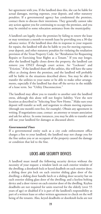her agreement with you. If the landlord does this, she can be liable for actual damages, moving expenses, your deposit, and other statutory penalties. If a governmental agency has condemned the premises, contact them to discuss their intentions. They generally cannot take any action against you for continuing to occupy the premises, and you may be entitled to some relocation assistance from the municipality.

A landlord can legally close the premises by failing to renew the lease or may terminate a month-to-month lease by providing you a 30-day advance notice. If the landlord does this in response to your requests for repairs, the landlord will also be liable to you for moving expenses, your deposit, and other statutory penalties for violating the retaliation provision of the Texas Property Code. *See* "Retaliation for Requesting Repairs or Exercising Your Rights as a Tenant." If you stay longer, after the landlord legally closes down the property, the landlord can remove you ONLY through court action. *See* "Lockouts" and "Eviction." If the landlord shuts off the utilities, this will have the same effect as closing down the premises, and the landlord will probably still be liable in the situations described above. You may be able to transfer the utilities to your name or be able to make other arrangements, especially if the landlord has shut off the service in the middle of a lease term. See "Utility Disconnection."

The landlord may allow you to transfer to another unit the landlord owns, although this alone will not forgive liability. View the new location as described in "Selecting Your New Home." Make sure your deposit will transfer as well, and negotiate to obtain moving expenses (through one month's rent free, for example). Obtain any agreement in writing. If negotiations cease, contact an attorney or tenant association and ask for advice. In some instances, you may be able to transfer and still sue your landlord for damages as discussed above.

#### *Governmental Fines*

If a governmental entity such as a city code enforcement office charges a fine to your landlord, the landlord may not charge you for the fine unless you or an occupant of the property caused the damage or condition that led to the fine.

# LOCKS AND SECURITY DEVICES

A landlord must install the following security devices without the necessity of your request: a window latch on each exterior window of the dwelling; a doorknob lock or keyed deadbolt on each exterior door; a sliding door pin lock on each exterior sliding glass door of the dwelling; a sliding door handle latch or a sliding door security bar on each exterior sliding glass door of the dwelling; and a keyless bolting device and a door viewer on each exterior door of the dwelling. Keyless deadbolts are not required for units reserved for the elderly (over 55 years of age) or disabled if it is part of the landlord's responsibility as part of a written lease or other written agreement to check on the well being of the tenants. Also, keyed deadbolts or doorknob locks are not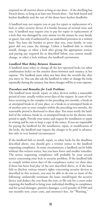required on all exterior doors as long as one door – if the dwelling has French doors, so long as at least one French door – has both keyed and keyless deadbolts and the rest of the doors have keyless deadbolts.

A landlord may not require you to pay for repair or replacement of a lock or other security device if it breaks because of normal wear and tear. A landlord may require you to pay for repair or replacement of a lock that was damaged by your misuse (or the misuse by your family or guest), but only if authorized by an underlined provision in a written lease. You have the burden to prove that you, your family, or your guest did not cause the damage. Unless a landlord fails to timely install, change, or rekey a lock after giving the appropriate notices and paying any required fee as described below, you cannot install, change, or rekey a lock without the landlord's permission.

#### *Landlord Must Rekey Between Tenancies*

A landlord must rekey or change all the key-operated locks (or other combination locks) on the exterior doors between each tenancy at her expense. The landlord must rekey not later than the seventh day after you move in. You can also ask the landlord to rekey or change the locks repeatedly during the tenancy, but these changes will be at your expense.

#### *Procedure and Remedies for Lock Problems*

The landlord must install, repair, or rekey devices within a reasonable period of time, usually within seven days of the request. In cases of violence occurring in the complex in the preceding two months, a break-in or attempted break-in of your place, or a break-in or attempted break-in of another unit in your complex within the preceding two months, the reasonable period is shortened to three days. You must notify the landlord of the violence, break-in, or attempted break-in for the shorter time period to apply. Provide your notice and request for installation or repair in writing and be sure to keep a copy of the notice. If you are responsible for paying the landlord for the installation, repair, or modification of the locks, the landlord may require the charges to be paid in advance, but only in very limited circumstances.

If the landlord fails to install, repair, or rekey locks by the deadlines described above, you should give a written notice to the landlord requesting compliance. In some circumstances, a landlord can be liable without this written notice, but you have fewer and smaller remedies. The notice requesting compliance will probably be your second notice concerning your lock or security problem. If the landlord fails to comply within seven days of the compliance notice (or three days if there has been foul play of the sort described above, or if the lease fails to disclose various tenant's rights concerning security devices as described in this section), you may be able to do one or more of the following: unilaterally terminate the lease; install/repair the security device and deduct the cost from the rent; or file suit for a court order requiring the landlord to bring your individual dwelling in compliance and for actual damages, punitive damages, a civil penalty of \$500 and one month's rent, court costs, and attorney's fees. *See* "Warning."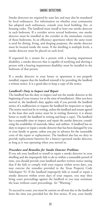# SMOKE DETECTORS

Smoke detectors are required by state law and may also be mandated by local ordinances. For information on whether your community has adopted such ordinances, consult your local building, fire, or housing codes. The landlord must install at least one smoke detector in each bedroom. If a corridor serves several bedrooms, one smoke detector must be installed in the corridor in the immediate vicinity of those bedrooms. In an efficiency apartment where the same room is used for dining, living, and sleeping purposes, the smoke detector must be located inside the room. If the dwelling is multiple levels, a smoke detector must be placed on each level.

If requested by a tenant for a person with a hearing impairment disability, a smoke detector that is capable of notifying and alerting a person with a hearing impairment disability must be installed in the bedroom of that person.

If a smoke detector in your house or apartment is not properly installed, request that the landlord reinstall it by providing the landlord a written notice. It is a good idea to keep a copy of the notice.

#### *Landlord's Duty to Inspect and Repair*

The landlord has the duty to inspect and test the smoke detector at the beginning of your tenancy (or at the time of installation). After you have moved in, the landlord's duty applies only if you provide the landlord notice of a malfunction or request the landlord for inspection or repair. The notice need not be in writing, unless the landlord and tenant agreed in the lease that such notice must be in writing (however, it is always better to notify the landlord in writing and keep a copy). The landlord has a reasonable time to inspect and repair the smoke detector, considering the availability of materials, labor, and utilities. A landlord has no duty to inspect or repair a smoke detector that has been damaged by you or your family or guests, unless you pay in advance for the reasonable costs of the repair or replacement. The landlord also has no duty to provide replacement batteries for a battery-operated smoke detector, as long as it was operating when you moved in.

#### *Procedure and Remedies for Smoke Detector Problems*

If you ask your landlord to install or repair a smoke detector in your dwelling and she improperly fails to do so within a reasonable period of time, you should provide your landlord another written notice stating that if she fails to comply with your request within seven days, you may exercise the remedies provided in the Texas Property Code Subchapter 92. If the landlord improperly fails to install or repair a smoke detector within seven days of your request, you may then bring court proceedings against the landlord or you may terminate the lease without court proceedings. *See* "Warning."

To succeed in court, you must be current on all rent due to the landlord from the time you provided her the first notice. If you, your family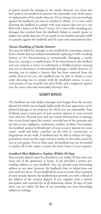or guests caused the damage to the smoke detector, you must also have paid to the landlord in advance the reasonable costs of the repair or replacement of the smoke detector. If you, bring court proceedings against the landlord, you may be entitled to obtain: (1) a court order directing the landlord to comply with your request (but not in a case filed with a Justice of the Peace Court); (2) a court order awarding you damages that resulted from the landlord's failure to install, repair, or replace the smoke detector; (3) an award of one month's rent plus \$100 as a penalty against the landlord; and (4) court costs and attorney's fees.

#### *Tenant Disabling of Smoke Detector*

You may be liable for damages to the landlord for removing a battery from a smoke detector without immediately replacing it with a working battery, or for disconnecting or intentionally damaging a smoke detector, causing it to malfunction. If the lease between the landlord and you contains a notice in underlined or boldfaced print warning you not to disconnect or intentionally damage a smoke detector, or warning you to replace a battery that has been removed from the smoke detector by you, the landlord may be able to obtain a court order directing you to comply with the landlord's notice, to pay a civil penalty of one month's rent plus \$100, and a judgment against you for court costs and reasonable attorney's fees.

# SECURITY DEPOSITS

The landlord can only deduct damages and charges from the security deposit for which you are legally liable under the lease agreement, or for physical damage to the property for which you are responsible. Your landlord cannot retain part of your security deposit to cover normal wear and tear. Normal wear and tear means deterioration or damage that occurs based upon the normal, intended use of the premises and not due to your negligence, carelessness, accident, or abuse. For example, the landlord cannot withhold part of your security deposit for worn carpet, small nail holes, scratches on the sink or countertops, or fingerprints on the walls. A landlord may be able to deduct for large, permanent stains on the carpet and pen marks on the walls caused by you or your guests. Even in these cases, the landlord may not be entitled to replace all of the carpet or paint the entire house at your expense.

#### *Landlord Must Refund or Explain Within 30 Days*

Your security deposit must be refunded to you within 30 days after you move out of the apartment or house, if you provided a written forwarding address to your landlord. You can provide your forwarding address at any time; however, the landlord's duty to refund does not exist until you do so. If your landlord has cause to retain all or a portion of your security deposit, the landlord must provide you with a refund of the balance of the security deposit, if any, together with a written description and itemized list of all deductions within 30 days of your move out (or within 30 days of you providing her your forwarding address in writing).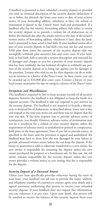A landlord is presumed to have refunded a security deposit or provided you with an itemized description of the security deposit deductions if on or before the thirtieth day from your move or date of your written notice of your forwarding address, whichever is later, the refund or itemization is placed in the United States mail and postmarked. If a landlord who has the tenant's forwarding address fails either to return the security deposit or to provide a written list of deductions on or before the thirtieth day after the tenant moves or the date of the tenant's written notice of forwarding address, whichever is later, then the landlord is presumed to have acted in bad faith. If your landlord retains all or part of your security deposit in bad faith, you may sue her and recover \$100 plus three times the amount of the security deposit that was wrongfully withheld, plus attorney's fees and court costs. If your landlord, in bad faith, fails to provide a written description and itemized list of damages and charges to you for a portion of your security deposit that has been withheld, she has forfeited all rights to withhold any portion of the security deposit or to bring suit against you for damages to the premises. Tenants who wish to sue for their deposits can do so without an attorney in a Justice of the Peace Court. In these courts, you can be awarded up to \$10,000 plus court costs. Contact a lawyer or your local tenant association for tips on suing in a Justice of the Peace Court.

#### *Exceptions and Miscellaneous*

The landlord is required by law to keep accurate records of all security deposits; however, the landlord is not obligated to keep the funds in a separate account. The landlord is also not required to pay interest on the security deposit. The landlord is not required to furnish a description or itemized list of deductions, as described above, if any rent is due and unpaid at the time you move out and there was no dispute that the rent was due. If the lease requires you to provide advance notice of termination, you should. However, advance notice of termination may not be a condition for a refund of your security deposit unless the requirement of advance notice is underlined or printed in conspicuous, bold print in the lease agreement. Even if you fail to provide notice, as specified in the lease, and the provision is signed and underlined, the landlord may have to show how she was damaged by your failure to provide advanced written notice before she can keep the deposit. If the house or apartment is sold or otherwise transferred to a new owner, the new owner is responsible for returning the deposit unless the new owner purchased the property at a foreclosure sale. In this case, the old owner remains responsible for the security deposit unless the new owner provides a written notice to you stating that she is responsible for the deposit.

#### *Security Deposit of a Deceased Tenant*

Unless your lease specifically provides otherwise during the term of your lease, your landlord can ask you to provide the name, address, and telephone number of a person to contact upon your death and a signed statement authorizing that person to receive your refunded security deposit. If your landlord does not request this information, you can volunteer it at any time. Upon your death, that person will be entitled to receive the balance of the security deposit from your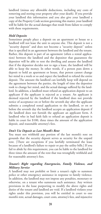landlord (minus any allowable deductions, including any costs of removing and storing your property after your death). If you provide your landlord this information and you also give your landlord a copy of the Property Code section governing this matter, your landlord will be liable for the actual damages that result from failure to comply with these requirements.

## *Hold Deposits*

Sometimes people place a deposit on an apartment or house so a landlord will not lease the unit to anyone else. This deposit is not a "security deposit" and does not become a "security deposit" unless that is specified in an agreement between the landlord and the tenant. Rather, this deposit is part of an agreement (often a rental application) between the landlord and the depositor that guarantees the depositor will be able to rent the dwelling and assures the landlord that if the depositor decides not to sign a lease, the landlord will be able to keep the money. In other words, if a person puts down a deposit to hold an apartment or house, that person cannot change her mind in a week or so and expect the landlord to refund the entire deposit. The amount the landlord can lawfully keep will depend on the agreement between the parties, the length of time the depositor took to change her mind, and the actual damage suffered by the landlord. In addition, a landlord must refund an application deposit to an applicant if the applicant is rejected as a tenant. An applicant is deemed rejected by the landlord if the landlord does not provide notice of acceptance on or before the seventh day after the applicant submits a completed rental application to the landlord, or on or before the seventh day the landlord accepts an application deposit if the landlord does not furnish the applicant an applicant form. A landlord who in bad faith fails to refund an application deposit is liable in court for \$100, three times the amount of the application deposit, and reasonable attorney's fees.

## *Don't Use Deposit as Last Month's Rent*

You must not withhold any portion of the last month's rent on grounds that the security deposit serves as security for the unpaid rent. [There are exceptions if you lawfully terminated the lease because of a landlord's failure to repair or pay the utility bills.] If you fail to abide by this requirement, you can be liable to the landlord for three times the amount of the rent that was wrongfully withheld and for reasonable attorney's fees.

## *Tenant's Right regarding Emergencies, Family Violence, and Military Service*

A landlord may not prohibit or limit a tenant's right to summon police or other emergency assistance in response to family violence. In addition, the landlord may not impose any penalties, monetary or otherwise, on a tenant who summons such assistance. Any written provisions in the lease purporting to modify the above rights and duties of the tenant and landlord are void. If a landlord violates your rights under this provision, you will be entitled in court to one month's rent, actual damages, court costs, attorney's fees, and injunctive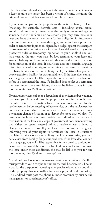relief. A landlord should also not evict, threaten to evict, or fail to renew a lease because the tenant has been a victim of crime, including the crime of domestic violence or sexual assault or abuse.

If you or an occupant of the property are the victim of family violence (meaning, for example, harmful acts – including abuse, sexual assault, and threats – by a member of the family or household against someone else in the family or household), you may terminate your lease and leave the property without further obligation for future rent or termination fees. To exercise this right, you must have a protective order or temporary injunction, signed by a judge, against the occupant or co-tenant of your residence. Once you have delivered a copy of the protective order or temporary injunction to your landlord and you have vacated the unit, you have, by law, terminated your lease and avoided liability for future rent and other sums due under the lease for termination of the lease. If your lease does not contain language informing you of your rights to terminate the lease in situations involving family violence or military deployment/transfer, you will be released from liability for past unpaid rent. If the lease does contain such language, you will still be responsible for rent owed to the landlord before you terminated the lease. If a landlord does not let you terminate the lease under these conditions, she may be liable to you for one month's rent, plus \$500 and attorneys' fees.

If you are a servicemember or a dependent of a servicemember, you may terminate your lease and leave the property without further obligation for future rent or termination fees if the lease was executed by the servicemember before entering military service, or if the servicemember executes the lease while in military service and then is ordered to a permanent change of station or to deploy for more than 90 days. To terminate the lease, you must provide the landlord written notice of termination of the lease and a copy of government documents showing that either the tenant entered military service or was ordered to change station or deploy. If your lease does not contain language informing you of your rights to terminate the lease in situations involving family violence or military deployment/transfer, you will be released from liability for past unpaid rent. If the lease does contain such language, you will still be responsible for rent owed to the landlord before you terminated the lease. If a landlord does not let you terminate the lease under these conditions, she may be liable to you for one month's rent, plus \$500 and attorneys' fees.

A landlord that has an on-site management or superintendent's office must provide to you a telephone number that will be answered 24 hours a day for the purpose of reporting emergencies related to a condition of the property that materially affects your physical health or safety. The landlord must post the phone number prominently outside the management or superintendent's office.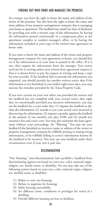## FINDING OUT WHO OWNS AND MANAGES THE PREMISES

As a tenant, you have the right to know the name and address of the owner of the premises. You also have the right to know the name and street address of any property management company that is managing your house or apartment. The landlord may satisfy her duty of disclosure by providing you with a written copy of the information, by having the information posted continuously in a conspicuous place in the apartment complex or resident manager's office, or by having the information included in your copy of the written lease agreement or house rules.

If you want to know the name and address of the owner and property management company for your apartment or house, you should first see if the information is in your lease or posted in the office. If it is not, then request the information from the manager. Your notice need not be in writing unless your written lease agreement requires it (but it is always better to put the request in writing and keep a copy for your records). If the landlord fails to provide the information you requested, you should provide her another written notice that if the information is not furnished to you within eight more days, you may exercise the remedies provided by the Texas Property Code.

If you were current on your rent when you provided the notices and the landlord has not complied with your second notice after eight days (or intentionally provided you incorrect information), you may sue the landlord for a court order that: (1) requires the landlord to disclose the information; (2) awards to you your actual costs incurred in discovering the information; (3) imposes a penalty against the landlord in the amount of one month's rent plus \$100; and (4) awards you attorney's fees and court costs. You may also terminate the lease agreement without court proceedings. *See* "Warning." You may sue your landlord if she furnished an incorrect name or address of the owner or property management company by willfully posting or stating wrong information, or by willfully failing to correct information known by the landlord to be incorrect. You may sue your landlord under these circumstances even if your rent is past due.

#### DISCRIMINATION

"Fair Housing" (anti-discrimination) laws prohibit a landlord from discriminating against you based on your race, color, national origin, religion, sex, family status, or disability. No one may take any of the following actions based on your race, color, national origin, religion, sex, familial status or disability:

- (1) Refuse to rent you housing;
- (2) Refuse to negotiate for housing;
- (3) Make housing unavailable;
- (4) Set different terms, conditions or privileges for rental of a dwelling;
- (5) Provide different housing services or facilities;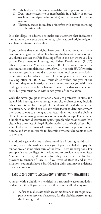- (6) Falsely deny that housing is available for inspection or rental;
- (7) Deny anyone access to or membership in a facility or service (such as a multiple listing service) related to rental of housing; and
- (8) Threaten, coerce, intimidate or interfere with anyone exercising a fair housing right.

It is also illegal to advertise or make any statement that indicates a limitation or preference based on race, color, national origin, religion, sex, familial status, or disability.

If you believe that your rights have been violated because of your race, color, religion, sex, disability, having children, or national origin, you should contact the Fair Housing office in the city where you live or the Department of Housing and Urban Development (HUD) office in your area. You can also call HUD's national number for discrimination complaints at 1.800.669.9777 or visit HUD's website at www.hud.gov. You should also contact your local tenant association or an attorney for advice. If you file a complaint with a city Fair Housing office or HUD, you must do so within one year of the violation, they must investigate the claim and contact you with their findings. You can also file a lawsuit in court for damages, fees, and costs, but you must do so within two years of the violation.

Only the seven groups mentioned above are protected in state and federal fair housing laws, although your city ordinance may include other protections, for example, for students, the elderly, or sexual orientation. A landlord can use any other factor to determine whom they want to rent to as long as that factor does not have the obvious effect of discriminating against one or more of the groups. For example, a landlord cannot discriminate against people who wear dresses (this clearly has the effect of illegal discrimination on the basis of sex). But, a landlord may use financial history, criminal history, previous rental history, and eviction records to determine whether she wants to rent to a tenant.

A landlord is generally not in violation of Fair Housing (antidiscrimination) laws if she wishes to evict you if you have failed to pay the rent or broken some other term of the lease. There are exceptions. For example, it may be illegal for the landlord to provide tenants of Race A more time to pay the rent before they evict than the landlord provides to tenants of Race B. If you were of Race B and in this situation, you might have a Fair Housing claim and maybe a defense in an eviction case.

# LANDLORD'S DUTY TO ACCOMMODATE TENANTS WITH DISABILITIES

A tenant with a disability is entitled to a reasonable accommodation of that disability. If you have a disability, your landlord **may not**:

(1) Refuse to make reasonable accommodations in rules, policies, practices or services if necessary for the disabled person to use the housing; and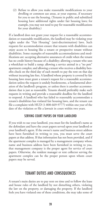(2) Refuse to allow you make reasonable modifications to your dwelling or common use areas, at your expense, if necessary for you to use the housing. (Tenants in public and subsidized housing have additional rights under fair housing laws; for example, you may not need to pay for reasonable modifications for your disability.)

If a landlord does not grant your request for a reasonable accommodation or reasonable modification, the landlord may be violating your rights under the "Fair Housing" (anti-discrimination) laws. Such requests for accommodation ensure that tenants with disabilities can enjoy access to housing like a tenant or prospective tenant without disabilities. Some examples of reasonable accommodations and modifications are: accepting alternative assurances of credit when the tenant has no credit history because of a disability; allowing a tenant who uses a wheelchair to build a ramp; allowing a service animal in a "no pets" apartment complex; and allowing a tenant who receives a disability benefits check on the third day of each month to pay the rent on that day without incurring late fees. A landlord whose property is covered by fair housing laws must grant a tenant's request for a reasonable accommodation unless the request is unduly burdensome, a fundamental alteration of the landlord's program, or unless there is another accommodation that is just as reasonable. Tenants should preferably make such requests in writing and provide a reasonable deadline for the landlord to respond. A landlord who has failed to reasonably accommodate a tenant's disabilities has violated fair housing laws, and the tenant can file a complaint with HUD (1-800-669-9777) within one year of the date of the violation or file a lawsuit in court within two years.

#### SERVING COURT PAPERS ON YOUR LANDLORD

If you wish to sue your landlord, you must list the landlord's name as the defendant and have the court papers served upon your landlord or your landlord's agent. If the owner's name and business street address have been furnished in writing to you, you must serve the court papers at that address. If that information has not been provided, and if the apartment complex is managed by a management company whose name and business address have been furnished in writing to you, that management company is the proper agent for service of court papers. Otherwise, the resident manager or rent collector serving the apartment complex can be the proper person upon whom court papers may be served.

# TENANT DUTIES AND CONSEQUENCES

A tenant's main duties are to pay rent on time and to follow the lease and house rules of the landlord by not disturbing others, violating the law on the property, or damaging the property. If the landlord feels you have violated one of these conditions, she may take some of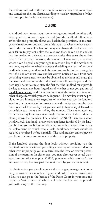the actions outlined in this section. Sometimes these actions are legal and sometimes they are illegal according to state law (regardless of what has been put in the lease agreement).

## LOCKOUTS

A landlord may prevent you from entering your leased premises only when your rent is not completely paid (and the landlord follows very strict rules and promptly allows you back in the premises), in an emergency situation, to conduct a bona fide repair, or when you have abandoned the premises. The landlord may not change the locks based on your failure to pay rent unless the lease says that she can do so and she has first mailed or delivered a three-day notice that states the earliest date of the proposed lock-out, the amount of rent owed, a location where it can be paid, and your right to receive a key to the new lock at any hour, regardless of whether you pay the delinquent rent. When your landlord changes your door locks because you are behind on paying the rent, the landlord must leave another written notice on your front door describing where a new key may be obtained at any hour and must give the name and location of the individual who will provide you with the new key. The notice must state the fact that the landlord must provide the key to you at any hour (regardless of whether or not you pay any of the delinquent rent) and the notice must state the amount of rent and other charges for which you are delinquent.The new key must be provided to you immediately, regardless of whether you pay the landlord anything, or the notice must provide you with a telephone number that is answered 24 hours a day that you can call to have a key delivered to you within two hours after calling the number. These rules apply no matter what any lease agreement might say and even if the landlord is closing down the premises. The landlord CANNOT remove a door, window, lock, doorknob, or any other appliance furnished by the landlord because you are behind on the rent, unless the removal is for repair or replacement (in which case, a lock, doorknob, or door should be repaired or replaced before nightfall). The landlord also cannot prevent you from entering a common area of the rental property.

If the landlord changes the door locks without providing you the required notices or without providing a new key or removes a door or other item improperly, you may terminate the lease or recover possession of the premises. In either case, you may also recover actual damages, one month's rent plus \$1,000, plus reasonable attorney's fees and court costs, less any past due rent owed by you as the tenant.

To obtain entry, you should contact the manager, management company, or owner for a new key. If your landlord refuses to provide you a key, you can go to the Justice of the Peace Court in your area and request a "writ of reentry" which will order the landlord to provide you with a key to the dwelling.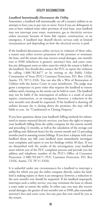# UTILITY DISCONNECTION

## *Landlord Intentionally Disconnects the Utility*

Sometimes, a landlord will intentionally cut off a tenant's utilities in an attempt to force you to pay rent or move. Even if you are delinquent in rent or have violated some other provision of your lease, your landlord may not interrupt your waste, wastewater, gas or electricity services unless necessary because of bona fide repairs, construction, or an emergency. A landlord may shutoff electric services only in limited circumstances and depending on how the electrical service is paid.

If the landlord disconnects utility services in violation of these rules, a tenant may either recover possession of the premises or terminate the lease, and the tenant also may recover actual damages, one month's rent or \$500 (whichever is greater), attorney's fees, and court costs, less any delinquent rents or other sums for which the tenant is liable to the landlord. You should also contact the PUC to report the violation by calling 1.888.782.8477 or by writing to the Public Utility Commission of Texas (PUC) Customer Protection, P.O. Box 13326, Austin, TX 78711-3326. You can also file a Writ of Restoration of Utilities with the Justice Court in your jurisdiction. The judge may grant a temporary ex parte order that requires the landlord to restore utilities until a hearing on the merits can be held in court. The landlord may not be liable if the interruption of utilities is a result of actual repairs, construction, or an emergency; however, a reduction in the next month's rent should be requested. If the landlord is shutting off utilities because she is closing down the premises, she may still be liable to you. *See* "Condemned or Closing Property."

If you have questions about your landlord's billing methods for submetered or master-metered electric services, you have the right to inspect your landlord's billing from the utility company for the current month and preceding 12 months, as well as the calculation of the average cost per billing unit (kilowatt hour) for the current month and 12 preceding months used in assessing tenant billings. If you have a dispute with your landlord about any bill, your landlord must immediately investigate your complaint and report to you her findings within 30 days. If you are dissatisfied with the results of the investigation, your landlord must inform you of the PUC complaint process and provide you the address and telephone number of the PUC's Office of Consumer Protection (1.888.782.8477; PUC Customer Protection, P.O. Box 13326, Austin, TX 78711-3326).

It is unlawful under any circumstances for a landlord to interrupt a utility for which you pay the utility company directly, unless the landlord is making repairs or there is an emergency; however, a reduction in the next month's rent should be requested. If the landlord improperly interrupts such a utility service, you may terminate the lease or obtain a court order to restore the utility. In either case, you may also recover actual damages, the greater of one month's rent or \$500, plus reasonable attorney's fees and court costs, less any past due rent owed by you as the tenant.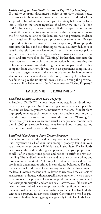## *Utility Cutoff for Landlord's Failure to Pay Utility Company*

If a utility company disconnects service or provides written notice that service is about to be disconnected because a landlord who is supposed to furnish utilities has not paid the utility bill, then the landlord is liable to the tenant regardless of whether the unit is "all bills paid," sub-metered, or master-metered. If this happens, you can terminate the lease in writing and move out within 30 days of receiving the first notice, as long as the landlord has not presented evidence that the utility bill has been paid prior to your termination. Be sure to provide notice in writing, date it, and keep a copy. If you properly terminate the lease and are planning to move, you may deduct your security deposit from your last month's rent (if you have not paid it yet) and sue for actual damages (such as moving expenses), court costs, and attorney's fees. *See* "Warning." Rather than terminate the lease, you can try to avoid the disconnection by reconnecting the utility in your name and deducting the amounts paid to the utility company from your rent. If you live in an apartment complex, you may have to organize most of the tenants of the complex in order to be able to negotiate successfully with the utility company. If the landlord has failed to pay the utility bill because she is closing the premises, she may still be liable to you. *See* "Condemned or Closing Property."

## LANDLORD'S RIGHT TO REMOVE PROPERTY

#### *Landlord Cannot Remove Own Property*

A landlord CANNOT remove doors, windows, locks, doorknobs, or any other appliance (such as a refrigerator or stove) supplied by the landlord because you are delinquent with the rent. If the landlord improperly removes such property, you may obtain a court order to have the property returned or terminate the lease. See "Warning." In either case, you may also recover actual damages, one month's rent plus \$1,000, plus reasonable attorney's fees and court costs, less any past due rent owed by you as the tenant.

#### *Landlord May Remove Some Tenant Property*

If you fail to pay rent, the landlord may have a lien (a right to possess until payment) on all of your "non-exempt" property found in your apartment or house, but only if this is stated in your lease.The landlord's lien provides the landlord the right to peacefully take your property and to sell it after a proper time period and notice, to satisfy the rent outstanding. The landlord can enforce a landlord's lien without taking any formal action in court ONLY if it is spelled out in the lease, and the lease provision is underlined or printed in conspicuous bold print. The landlord cannot sell or dispose of the property unless this is also written in the lease. However, the landlord is allowed to remove all the contents of an apartment or house, without a specific lease provision, when a tenant has abandoned the premises. There is no specific limit on the amount of non-exempt property the landlord can take. Nevertheless, if the landlord takes property (valued at market prices) worth significantly more than the rent owed, you may have a wrongful seizure suit. The landlord also cannot take property for any other charge. Government-owned or government-subsidized housing programs generally forbid landlord's liens.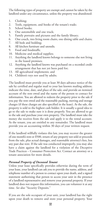The following types of property are exempt and cannot be taken by the landlord under any circumstance, unless the property was abandoned:

- 1. Clothing;
- 2. Tools, equipment, and books of the tenant's trade;
- 3. School books;
- 4. One automobile and one truck;<br>5. Family portraits and pictures and
- Family portraits and pictures and the family library;
- 6. One couch, two living room chairs, one dining table and chairs;
- 7. All beds and bedding;
- 8. All kitchen furniture and utensils;
- 9. Food and foodstuffs;
- 10. Medicine and medical supplies;
- 11. Anything the landlord knows belongs to someone else not living in the leased premises;
- 12. Anything the landlord knows was purchased on a recorded credit arrangement that has not yet been paid for;
- 13. All agricultural implements; and
- 14. Children's toys not used by adults.

The landlord must provide you at least 30 days advance notice of the sale by certified and regular mail to your last known mailing address; indicate the time, date, and place of the sale; and provide an itemized account of the rent owed and the name of the person to contact for information. You are allowed to redeem the property prior to the sale if you pay the rent owed and the reasonable packing, moving and storage charges (if these charges are also specified in the lease). At the sale, the property is sold to the highest cash bidder. It is usually a good idea to go to the sale to make sure it is done properly. You are allowed to go to the sale and purchase your own property. The landlord must take the money she receives from the sale and apply it to the rental account. As the tenant, you are entitled to any remainder. The landlord must provide you an accounting within 30 days of your written request.

If the landlord willfully violates this law, you may recover the greater of one month's rent or \$500, return of any property not sold or proceeds from the sale, plus actual damages, and reasonable attorney's fees, less any past due rent. If the sale was conducted improperly, you may also have a claim against the landlord for a violation of the Deceptive Trade Practices – Consumer Protection Act. Contact an attorney or a tenant association for more details.

#### *Personal Property of Deceased Tenant*

Unless your lease specifically provides otherwise during the term of your lease, your landlord can ask you to provide the name, address, and telephone number of a person to contact upon your death, and a signed statement authorizing that person to access your unit in the presence of a landlord representative and remove your personal property. If your landlord does not request this information, you can volunteer it at any time. *See* also "Security Deposits."

If you are the sole occupant of your unit, your landlord has the right upon your death to remove and store your personal property. Your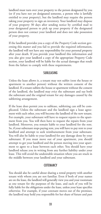landlord must turn over your property to the person designated by you (or if you have not yet designated someone, a person who is lawfully entitled to your property), but the landlord may require the person taking your property to sign an inventory. Your landlord may dispose of your property 30 days after sending notice by certified mail to your designated person to pick up your property if the designated person does not contact your landlord and does not take possession of your property.

If the landlord provides you a copy of the Property Code section governing this matter and you fail to provide the required information, the landlord will not have any responsibility for your personal property after your death. If you provide your landlord this information and you also give your landlord a copy of the appropriate Property Code section, your landlord will be liable for the actual damages that result from the failure to comply with these requirements.

#### SUBLEASING

Unless the lease allows it, a tenant may not sublet (rent the house or apartment to another person) without the written consent of the landlord. If a tenant sublets the house or apartment without the consent of the landlord, the landlord may evict the subtenant and sue both the subtenant and the original tenant for any damages caused by the subletting arrangement.

If the lease does permit you to sublease, subletting can still be complicated. Unless the subtenant and the landlord sign a lease agreement with each other, you will become the landlord of the new tenant. For example, your subtenant will have to request repairs to the apartment from you. You will then have to request the repairs from your landlord. Moreover, you remain liable to your landlord for the rent. So, if your subtenant stops paying rent, you will have to pay rent to your landlord and attempt to seek reimbursement from your subtenant. You will also be liable to your landlord for any damage done by your subtenant. If you must move out of your apartment, you should attempt to get your landlord and the person moving into your apartment to agree to a lease between each other. You should have your landlord release you in writing from any further liability under your lease. This will avoid the undesirable situation where you are stuck in the middle between your landlord and your subtenant.

# **COTENANCY**

You should also be careful about sharing a rental property with another tenant with whom you are not familiar. Even if both of your names are on the lease, the landlord will generally view you and your roommate as one tenant for the purposes of the lease, and each of you will be fully liable for the obligations under the lease, unless your lease specifies otherwise. For example, if your cotenant moves out of the premises, the landlord may hold you responsible for her share of future and past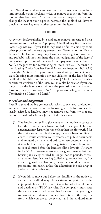rent. Also, if you and your cotenant have a disagreement, your landlord probably cannot lockout, evict, or remove that person from the lease on that basis alone. As a cotenant, you can request the landlord change the locks at your expense; however, the landlord will have to provide the new key to any other tenant on the lease.

#### **FVICTION**

An eviction is a lawsuit filed by a landlord to remove someone and their possessions from the landlord's property. A landlord may file an eviction lawsuit against you if you fail to pay rent or fail to abide by some other provision of the lease agreement. *See* "Termination for Tenant Breach." The landlord may only terminate your right of possession and probably will not terminate the other obligations of the lease if you violate a provision of the lease for nonpayment or other breach. *See* "Consequences for Terminating Without Excuse." [A tenant in the Housing Choice Voucher Rental Assistance Program (HCVRAP) (formerly "Section 8"), government-owned or government-subsidized housing must commit a serious violation of the lease for the landlord to be able to terminate the lease.] Check the lease for what constitutes a violation of the lease. You may also be evicted if you stay longer than the lease allows without the permission of the landlord. However, there are exceptions. *See* "Exceptions to Failing to Renew or Terminating a Month-to-Month."

#### *Procedure and Suggestions*

Even if your landlord has grounds with which to evict you, the landlord and court must perform all of the following steps before you can be legally evicted. A landlord may not remove you from her property without a final order from a Justice of the Peace court.

- (1) The landlord must first give you a written notice to vacate at least three days before a lawsuit is filed to evict you. (The lease agreement may legally shorten or lengthen the time period for the notice to vacate.) At this stage, there has been no filing in court. Because eviction court records are public documents and are used by many landlords to screen potential tenants, it may be best to attempt to negotiate a reasonable solution to your dispute before the landlord files a lawsuit. [A tenant in HCVRAP, government-owned or government-subsidized housing is usually entitled to longer notice periods, as well as an administrative hearing (called a "grievance hearing" or a meeting with the landlord) before any of these eviction procedures can begin, unless the allegations include drug or violent criminal behavior.]
- (2) If you fail to move out before the deadline in the notice to vacate, the landlord may file a written complaint with the appropriate Justice of the Peace Court (called a forcible entry and detainer or "FED" lawsuit). The complaint must state the specific reason the landlord has for terminating your right to possession, contain a complete description of the property from which you are to be evicted, and the landlord must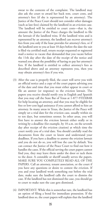swear to the contents of the complaint. The landlord may also ask the court to award her back rent, court costs, and attorney's fees (if she is represented by an attorney). The Justice of the Peace Court should not consider other damages (such as late fees) claimed by the landlord in an eviction case. The landlord will be entitled to court costs—that is, the amount the Justice of the Peace charges the landlord to file the lawsuit–if the landlord wins. If the landlord wins and is represented by an attorney, the landlord can recover attorney's fees from you only if the lease provides for attorney's fees, or if the landlord sent to you at least 10 days before the date the suit is filed via certified mail, return receipt requested or registered mail a notice to vacate that demanded that you vacate before the 11th day after the date of the receipt of the notice and warned you about the possibility of having to pay her attorney's fees. If the landlord is entitled to collect attorney's fees as described above and an attorney represents you, then you may obtain attorney's fees if you win.

- (3) After the case is properly filed, the court will serve you with an official notice and a copy of the court papers advising you of the date and time that you must either appear in court or file an answer (or response) to the eviction lawsuit. The papers you receive should notify you in English and Spanish that you may call the State Bar of Texas at 1-877-9TEXBAR for help locating an attorney, and that you may be eligible for free or low-cost legal assistance if you cannot afford to hire an attorney. In many areas in Texas, the Justice of the Peace will simply set a trial date for the eviction case, usually within six to ten days, but sometimes sooner. In other areas, you will first have to answer the eviction lawsuit either orally or in writing by a deadline (for example, by 10 a.m. on the seventh day after receipt of the eviction citation) at which time the court notify you of a trial date. You should carefully read the documents from the court to know and understand your deadlines. If you have a deadline to answer the eviction lawsuit and you do not do so, you will lose the case by default. You can contact the Justice of the Peace Court to find out how it handles the cases. If the official serving the court papers cannot find you, they may leave them under the door or tack them to the door. A constable or sheriff usually serves the papers. MAKE SURE YOU COMPLETELY READ ALL OF THE PAPERS. Call an attorney, tenant association, or the court if you have any questions or desire to contest the eviction. If you and your landlord work something out before the trial date, make sure the landlord calls the court to dismiss the case. If the landlord has not dismissed the case, you should go to court to make sure the case gets dismissed.
- (4) IMPORTANT: While this is somewhat rare, the landlord has an option of filing a bond for immediate possession. If the landlord does so, the court papers will explain that the landlord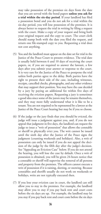may take possession of the premises six days from the date that you are served with the bond papers **unless you ask for a trial within the six-day period**. If your landlord has filed a possession bond and you do not ask for a trial within the six-day period, you will lose possession of the premises. It is always better to request the trial in writing by filing a request with the court. Make a copy of your request and bring both your original request and the copy to court. The court clerk should stamp both with the date you filed the request, and return one file-stamped copy to you. Requesting a trial does not cost anything.

- (5) You and the landlord must appear on the date set for trial in the Justice of the Peace Court to present evidence. The trial date is usually held between 6 and 10 days of receiving the court papers, or, if you are required to answer the lawsuit, a few days after you submit your answer or response to the court. It is very rare for the Justice of the Peace to postpone the trial unless both parties agree to the delay. Both parties have the right to present their side of the case, including witnesses, receipts, cancelled checks, photographs, and any other evidence that may support their position. You may have the case decided by a jury by paying an additional fee within five days of receiving the eviction papers. Requesting a jury is sometimes a good idea since some of the jurors may be tenants themselves, and they may more fully understand what it is like to be a tenant. You are not required to be represented by a lawyer at the Justice of the Peace Court hearing but may be if you so choose.
- (6) If the judge or the jury finds that you should be evicted, the judge will issue a judgment against you, and, if you do not appeal that judgment in five days, the landlord can request the judge to issue a "writ of possession" that allows the constable or sheriff to physically evict you. The writ cannot be issued until the sixth day after the Justice of the Peace signs the judgment (counting weekends and holidays). Also, a writ of possession can only be issued if you do not appeal the decision of the judge by the fifth day after the judge's decision. See "Appealing an Eviction Case" below. If you do not attend the hearing, you will lose the case by default. Once a writ of possession is obtained, you will be given 24-hours notice that a constable or sheriff will supervise the removal of all persons and property from the premises. The officers cannot execute a writ of possession if it is raining, sleeting, or snowing. Because constables and sheriffs usually do not work on weekends or holidays, writs are not typically executed then.
- (7) If you lose your eviction case in court, the landlord can still allow you to stay in the premises. For example, the landlord may allow you to stay if you pay back rent and court costs before the six days are up. For example, the landlord may let you stay if you pay back rent and court costs before the six days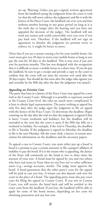are up. Warning: Unless you get a signed, written agreement from the landlord saying the judgment from the court is void (or that she will never enforce the judgment) and file it with the Justice of the Peace Court, the landlord can evict you anytime without another hearing or any grace period (as long as it is the sixth day or longer after the hearing and you have not appealed the decision of the judge). The landlord will not need any reason and could conceivably evict you even if you pay back rent. Therefore, if the landlord will not sign an agreement to dissolve the judgment (or promise never to enforce it), it might be better to move.

[Note that if you are a tenant renting a lot for your mobile home, the court must give you 30 days to move your mobile home so long as you pay the rent for 30 days to the landlord. This is true even if you owe rent for previous months. This law was designed with the recognition that it is difficult to move a mobile home in a short time. If you do pay the landlord, be sure to get a receipt and provide a copy to the court to confirm that the court will not issue the eviction writ until after the 30 days expire. You should do this soon after the judge rules against you and certainly by the fifth day after the date the judgment was issued.]

#### *Appealing an Eviction Case*

The party that loses in a Justice of the Peace Court may appeal for a new trial in the County Court. Although it is possible to represent yourself at the County Court level, the rules are much more complicated. It is best to obtain legal representation. The party wishing to appeal has only five days after the judge signs the judgment to file an appeal with the Justice of the Peace Court. To determine the deadline: Begin counting on the day after the trial (or date the judgment is signed if that is later). Count weekends and holidays, but the deadline will be extended to the next day the court is open if the fifth day falls on a weekend or holiday. For example, if the trial is Thursday, the deadline to file is Tuesday. If the judgment is signed on Monday, the deadline to file is the next Monday. Ask the court clerk, a lawyer, or tenant association for information on the deadlines and the necessary papers.

To appeal a case to County Court, you must either put up a bond (a bond is a promise to pay a certain amount) or file a pauper's affidavit of inability to pay the bond. If it is the tenant who is appealing, the Justice of the Peace will commonly set the bond at two to three times the amount of your rent. A bond must be signed by you and two others who have real estate in Texas (that no one lives on) or other sufficient assets (e.g., savings accounts, stocks). The judge must approve the bond. A bond guarantees that the other party's costs for the appeal will be paid in case you lose. A tenant can also deposit cash into the court in the place of a bond. The appealing party must also pay court costs for filing the appeal in County Court. If you win in County Court, you will receive the bond back and will be entitled to the court costs from the landlord. If you lose, the landlord will be able to apply for some of the bond money, depending on her costs for obtaining possession and any lost rent.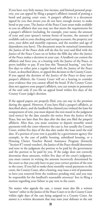If you have very little money, low income, and limited personal property, you can appeal by filing a pauper's affidavit instead of posting a bond and paying court costs. A pauper's affidavit is a document signed by you that swears you do not have enough money to make bond or pay costs. The Justice of the Peace Court must make available to you an affidavit that you may use that meets the requirements for a pauper's affidavit (including, for example, your name, the amount of your and your spouse's various forms of income, the amount of available cash in your checking and savings accounts, the property you own, your debts and monthly expenses, and the number and age of dependents you have). The document must be notarized (sometimes the Justice of the Peace clerk will do this for you) and filed with the Justice of the Peace Court on or before the fifth day after the Justice of the Peace makes a decision in your case. A landlord can contest the affidavit and force you, at a hearing with the Justice of the Peace, to prove inability to pay. If you lose this "financial hearing," you have five days to either post a regular bond with the Justice of the Peace Court, as described above, or appeal this decision to the County Court. If you appeal the decision of the Justice of the Peace to deny your pauper's affidavit, the County Court will set a hearing to consider your evidence that you cannot afford the bond. If the County Court does not approve your pauper's affidavit, you can remain in possession of the unit only if you file an appeal bond within five days of the County Court judge's decision.

If the appeal papers are properly filed, you can stay in the premises during the appeal. However, if you have filed a pauper's affidavit, as described above, and the landlord has claimed you violated the lease for nonpayment of rent, you must deposit the rent stated in the judgment (and notice) by the date statedin the notice from the Justice of the Peace, but not later than five days after the date you filed the pauper's affidavit. After that, you must continue to deposit monthly rental payments with the court wherever the case is, but usually the County Court, within five days of the due date under the lease until the trial date. If a portion of your rent is payable by a government agency (for example, in the case of public housing, subsidized housing, or a Housing Choice Vouvher Rental Assistance Program (formerly "Section 8") rental voucher), the Justice of the Peace should determine and note in the judgment the portion to be paid by the government and the portion to be paid by you. If the judge does not correctly determine these amounts, within five days of the court's judgment, you must contest in writing the amount incorrectly determined by the court so that you only have to pay your correct portion of the rent to the court. If you fail to make these monthly rental payments to the court, the County Court, after a hearing, may issue a writ of possession to have you removed from the residence pending trial, and you may be responsible for the landlord's reasonable attorneys' fees in filing a motion regarding your failure to pay rent to the court.

No matter who appeals the case, a tenant must also file a written "answer" either in the Justice of the Peace Court or in the County Court within eight days of the case being assigned to a County Court. An answer is a written document that may state your defenses to the suit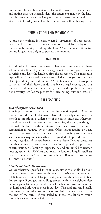but can merely be a short statement listing the parties, the case number, and stating that you generally deny the statements made by the landlord. It does not have to be fancy or have legal terms to be valid. If an answer is not filed, you can lose the eviction case without having a trial.

# TERMINATION AND MOVING OUT

A lease can terminate in several ways: by agreement of both parties, when the lease ends, according to state or federal law, or by one of the parties breaching (breaking) the lease. Once the lease terminates, you no longer have a right to possess the premises.

#### BY AGREEMENT

A landlord and a tenant can agree to change or completely terminate a lease at any time. If you have an agreement, be sure you reduce it to writing and have the landlord sign the agreement. This method is especially useful to avoid having a suit filed against you for rent or a claim placed on your credit report. Often, tenants have to move prior to the end of their lease but do not have a legal excuse, and this method (landlord-tenant agreement) resolves the problem without risk or worry. *See* "Consequences for Terminating Without Excuse."

### THE LEASE ENDS

#### *End of Express Lease Term*

A main provision of any lease specifies the lease time period. After the lease expires, the landlord-tenant relationship usually continues on a month-to-month basis, unless one of the parties indicates otherwise. Therefore, even if the lease is about to expire, the party wishing to terminate the lease on the expiration date must provide a notice of termination as required by the lease. Often, leases require a 30-day notice to terminate the lease but read your lease carefully to know your specific notice requirements. Also, it is a good idea to provide notice in writing, regardless of the requirements of your lease. Tenants sometimes lose their security deposits because they fail to provide proper notice of termination. *See* "Security Deposits." A landlord can fail to renew a lease agreement for ANY reason, unless the landlord illegally retaliates or discriminates. *See* "Exceptions to Failing to Renew or Terminating a Month-to-Month."

#### *Month-to-Month Terminations*

Unless otherwise specified in your lease, either the landlord or you may terminate a month-to-month tenancy for ANY reason (except to retaliate or discriminate) by providing one month's advance notice. For example, if you get into a disagreement with your neighbor after he has a party late at night and you call the landlord to complain, the landlord could ask you to move in 30 days. The landlord could legally terminate the month-to-month lease (or fail to renew your lease at the end of the term). If you failed to move, the landlord would probably succeed in an eviction case.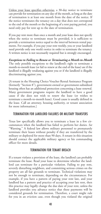Unless your lease specifies otherwise, a 30-day notice to terminate can provide for termination on any day of the month, as long as the date of termination is at least one month from the date of the notice. If the notice terminates the tenancy on a day that does not correspond to the end of the month or the beginning of a rent paying period, you need only pay for rent up to the date of termination.

If you pay rent more than once a month and your lease does not specify when the notice to terminate must be provided, it is sufficient to provide a termination notice equal to the interval between rental payments. For example, if you pay your rent weekly, you or your landlord need provide only one week's notice in order to terminate the tenancy. A written notice is not necessarily required but is strongly encouraged.

*Exceptions to Failing to Renew or Terminating a Month-to-Month* The only possible exceptions to the landlord's right to terminate a month-to-month lease (or fail to renew at the end of the lease) are if the landlord is illegally retaliating against you or if the landlord is illegally discriminating against you.

[A tenant in the Housing Choice Voucher Rental Assistance Program (formerly "Section 8"), government-owned or government-subsidized housing often has an additional protection concerning a lease renewal. Many government programs require the landlord to have a good cause if she does not wish to renew the lease (or wishes to terminate a month-to-month lease). Good cause is usually defined in the lease. Call an attorney, housing authority, or tenant association for more information.]

# TERMINATION FOR LANDLORD FAILURES OR MILITARY TRANSFERS

Texas law specifically allows you to terminate a lease in a few circumstances when the landlord has failed to perform her duties. *See* "Warning." A federal law allows military personnel to prematurely terminate their leases without penalty if they are transferred by the military or deployed for more than 90 days. A tenant in this situation should contact the applicable military agency or his commanding officer for more details.

## TERMINATION FOR TENANT BREACH

If a tenant violates a provision of the lease, the landlord can probably terminate the lease. Read your lease to determine whether the landlord can terminate for a particular violation. Failing to pay rent, severely disturbing neighbors, and committing serious crimes on the property are all fair grounds to terminate. Technical violations may not be enough to terminate, depending on the circumstances. For example, if you have a pattern of paying your rent late, and your landlord has a pattern and practice of accepting your late rent, then this practice may legally change the due date of your rent, unless the landlord provides you advance notice that these payments will be considered grounds for termination. Therefore, a court might rule for you in an eviction case, even though you violated the original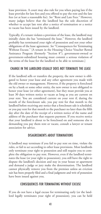lease provision. A court may also rule for you when paying late if the lease provides for late fees and you offered to pay the rent and the late fees (or at least a reasonable fee). *See* "Rent and Late Fees." However, many judges believe that the landlord has the sole discretion of whether to accept late rent after a notice of termination or a notice to vacate has been issued by the landlord.

Typically, if a tenant violates a provision of the lease, the landlord may initially claim she has "terminated the lease." However, the landlord probably has terminated your right of possession and not your other obligations of the lease agreement. *See* "Consequences for Terminating Without Excuse." [A tenant in the Housing Choice Voucher Rental Assistance Program (formerly "Section 8"), government-owned or government-subsidized housing must commit a serious violation of the terms of the lease for the landlord to be able to terminate.]

# CHANGE IN THE LANDLORD USUALLY DOES NOT TERMINATE THE LEASE

If the landlord sells or transfers the property, the new owner is obligated to honor your lease and any other agreement you made with the old owner or management. However, if the property is foreclosed on by a bank or some other entity, the new owner is not obligated to honor your lease (or other agreement), but they must provide you at least 30 days written notice to vacate as long as you are current on your rent. You are considered current on your rent if, during the month of the foreclosure sale, you pay rent for that month to the landlord before receiving any notice that a foreclosure sale is scheduled, or you pay rent for that month to the purchaser no later than the fifth day after the date of the receipt of a written notice of the name and address of the purchaser that requests payment. If you receive notice that your landlord is about to be foreclosed on and someone else is demanding you pay them rent or vacate, consult a lawyer or tenant association for advice.

# DISAGREEMENTS ABOUT TERMINATIONS

A landlord may terminate if you fail to pay rent on time, violate the rules, or fail to act according to other lease provisions. Most landlords only terminate your right to possession and still require you to complete the obligation to pay rent. However, even if the landlord terminates the lease (or your right to possession), you still have the right to dispute the landlord's decision and stay in your house or apartment and demand a judge or jury make the determination. The landlord cannot physically remove you from the premises unless an eviction suit has been properly filed and a final judgment and writ of possession have been issued against you.

# CONSEQUENCES FOR TERMINATING WITHOUT EXCUSE

If you do not have a legal excuse for terminating early (or the landlord legally terminates your right of possession), you can be held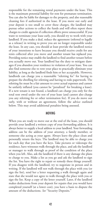responsible for the remaining rental payments under the lease. This is the maximum potential liability for rent for premature termination. You can also be liable for damages to the property, and also reasonable cleaning fees if authorized in the lease. If you move out early and your deposit is too small to cover these charges, the landlord may pursue other actions to collect the funds and will often report these charges to credit agencies if collection efforts prove unsuccessful. If you want to terminate your lease early, you should try to work with your landlord. If you make a deal, reduce the agreement (referred to legally as a release) in writing to prove you are no longer responsible under the lease. In any case, you should at least provide the landlord notice of your intentions to leave because you should receive credit for any rents collected after you move and another tenant has replaced you. Providing notice may enable the landlord to find another tenant before you actually move out. Your landlord has the duty to mitigate damages if you abandon your residence in violation of your lease. You can also find someone else to rent your place to practically eliminate your liability, as long as the landlord finds him or her acceptable. However, landlords can charge you a reasonable "reletting fee" for having to prepare the dwelling for reletting and having to redo paperwork. The reletting fee must be a fair amount to cover actual expenses and cannot be unfairly inflated (you cannot be "penalized" for breaking a lease). If a new tenant is not found, a landlord can charge you only for the total rent owed under the rest of your lease (and cannot also charge you any reletting fee or other termination fee). If you do move out early, with or without an agreement, follow the advice outlined below. This may avoid additional penalties being assessed.

#### MOVING

When you are ready to move out at the end of the lease, you should provide your landlord a written copy of your forwarding address. It is always better to supply a local address to your landlord. Your forwarding address can be the address of your attorney, a family member, or someone else acting as your agent. Always leave the place clean and personally return the keys. The landlord may be able to charge you for each day that you have the keys. Take pictures or videotape the residence, have witnesses walk through the place, and ask the landlord or manager to walk through as proof of the condition of the place when you left. Also, ask the landlord if there is any damage she plans to charge to you. Make a list as you go and ask the landlord to sign the list. You have the right to repair or remedy these things yourself. If you disagree with the landlord, try to negotiate in person and in writing. If the landlord will not walk through the place with you (or sign the list), send her a letter requesting a walk through again and state that she would not agree to walk through the place with you or sign the list. Keep a copy of the letter yourself. Later, if the landlord makes deductions from your deposit for repairs that you would have completed yourself (at a lower cost), you have a basis to dispute the amount of the deductions. *See* "Security Deposits."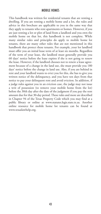## MOBILE HOMES

This handbook was written for residential tenants that are renting a dwelling. If you are renting a mobile home and a lot, the rules and advice in this brochure are applicable to you in the same way that they apply to tenants who rent apartments or homes. However, if you are just renting a lot or plot of land from a landlord and you own the mobile home on that lot, this handbook is not complete. While many similar rules and principles do apply to mobile home lot tenants, there are many other rules that are not mentioned in this handbook that protect these tenants. For example, your lot landlord must offer you an initial lease term of at least six months. Regardless of the term of your lease, the landlord must generally provide you 60 days' notice before the lease expires if she is not going to renew the lease. However, if the landlord chooses not to renew a lease agreement because of a change in the land use, she must provide you 180 days' notice before the change in land use. Also, if you are behind in rent and your landlord wants to evict you for this, she has to give you written notice of the delinquency, and you have ten days from that notice to pay your delinquent rent and avoid eviction. In addition, if a judge rules against you in an eviction case, the judge may not issue a writ of possession (to remove your mobile home from the lot) before the 30th day after the date of the judgment if you pay the rent amount due for that 30-day period.These rules and more are described in Chapter 94 of the Texas Property Code which you may find at a public library or online at www.statutes.legis.state.tx.us. Another online resource for mobile home lot tenants can be found at www.texaslawhelp.org.